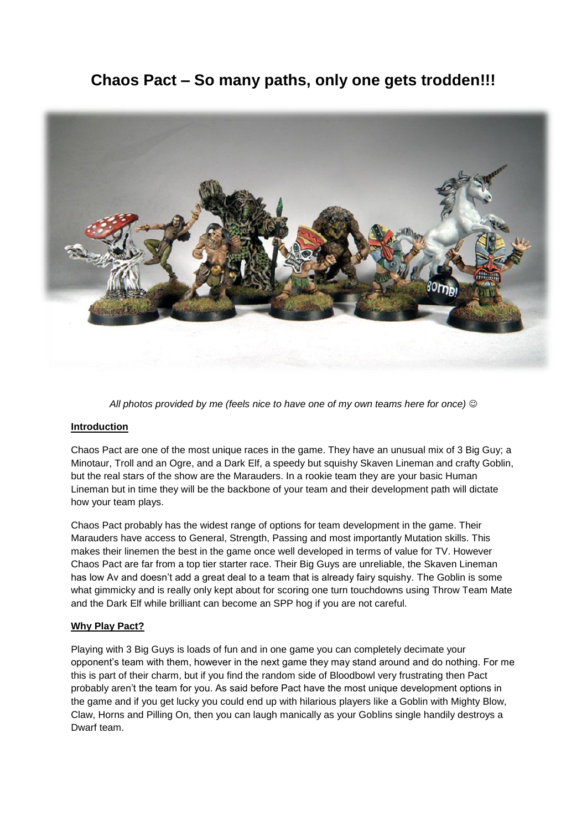# **Chaos Pact – So many paths, only one gets trodden!!!**



*All photos provided by me (feels nice to have one of my own teams here for once)*

## **Introduction**

Chaos Pact are one of the most unique races in the game. They have an unusual mix of 3 Big Guy; a Minotaur, Troll and an Ogre, and a Dark Elf, a speedy but squishy Skaven Lineman and crafty Goblin, but the real stars of the show are the Marauders. In a rookie team they are your basic Human Lineman but in time they will be the backbone of your team and their development path will dictate how your team plays.

Chaos Pact probably has the widest range of options for team development in the game. Their Marauders have access to General, Strength, Passing and most importantly Mutation skills. This makes their linemen the best in the game once well developed in terms of value for TV. However Chaos Pact are far from a top tier starter race. Their Big Guys are unreliable, the Skaven Lineman has low Av and doesn't add a great deal to a team that is already fairy squishy. The Goblin is some what gimmicky and is really only kept about for scoring one turn touchdowns using Throw Team Mate and the Dark Elf while brilliant can become an SPP hog if you are not careful.

## **Why Play Pact?**

Playing with 3 Big Guys is loads of fun and in one game you can completely decimate your opponent's team with them, however in the next game they may stand around and do nothing. For me this is part of their charm, but if you find the random side of Bloodbowl very frustrating then Pact probably aren't the team for you. As said before Pact have the most unique development options in the game and if you get lucky you could end up with hilarious players like a Goblin with Mighty Blow, Claw, Horns and Pilling On, then you can laugh manically as your Goblins single handily destroys a Dwarf team.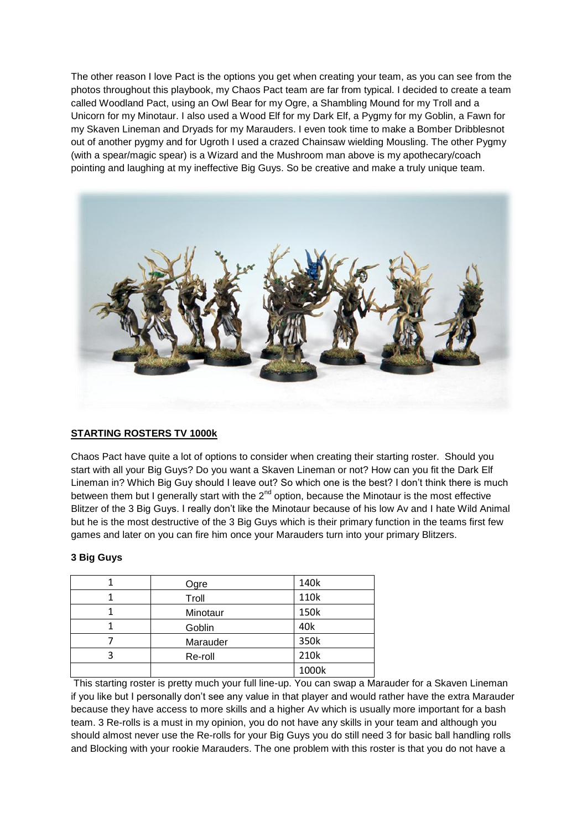The other reason I love Pact is the options you get when creating your team, as you can see from the photos throughout this playbook, my Chaos Pact team are far from typical. I decided to create a team called Woodland Pact, using an Owl Bear for my Ogre, a Shambling Mound for my Troll and a Unicorn for my Minotaur. I also used a Wood Elf for my Dark Elf, a Pygmy for my Goblin, a Fawn for my Skaven Lineman and Dryads for my Marauders. I even took time to make a Bomber Dribblesnot out of another pygmy and for Ugroth I used a crazed Chainsaw wielding Mousling. The other Pygmy (with a spear/magic spear) is a Wizard and the Mushroom man above is my apothecary/coach pointing and laughing at my ineffective Big Guys. So be creative and make a truly unique team.



## **STARTING ROSTERS TV 1000k**

Chaos Pact have quite a lot of options to consider when creating their starting roster. Should you start with all your Big Guys? Do you want a Skaven Lineman or not? How can you fit the Dark Elf Lineman in? Which Big Guy should I leave out? So which one is the best? I don't think there is much between them but I generally start with the  $2^{nd}$  option, because the Minotaur is the most effective Blitzer of the 3 Big Guys. I really don't like the Minotaur because of his low Av and I hate Wild Animal but he is the most destructive of the 3 Big Guys which is their primary function in the teams first few games and later on you can fire him once your Marauders turn into your primary Blitzers.

## **3 Big Guys**

| Ogre     | 140k  |
|----------|-------|
| Troll    | 110k  |
| Minotaur | 150k  |
| Goblin   | 40k   |
| Marauder | 350k  |
| Re-roll  | 210k  |
|          | 1000k |

This starting roster is pretty much your full line-up. You can swap a Marauder for a Skaven Lineman if you like but I personally don't see any value in that player and would rather have the extra Marauder because they have access to more skills and a higher Av which is usually more important for a bash team. 3 Re-rolls is a must in my opinion, you do not have any skills in your team and although you should almost never use the Re-rolls for your Big Guys you do still need 3 for basic ball handling rolls and Blocking with your rookie Marauders. The one problem with this roster is that you do not have a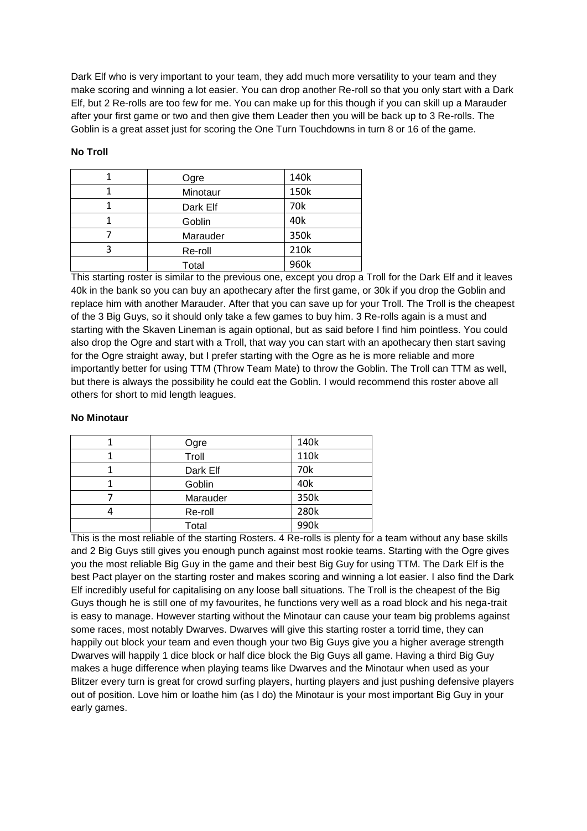Dark Elf who is very important to your team, they add much more versatility to your team and they make scoring and winning a lot easier. You can drop another Re-roll so that you only start with a Dark Elf, but 2 Re-rolls are too few for me. You can make up for this though if you can skill up a Marauder after your first game or two and then give them Leader then you will be back up to 3 Re-rolls. The Goblin is a great asset just for scoring the One Turn Touchdowns in turn 8 or 16 of the game.

## **No Troll**

|   | Ogre     | 140k |
|---|----------|------|
|   | Minotaur | 150k |
|   | Dark Elf | 70k  |
|   | Goblin   | 40k  |
|   | Marauder | 350k |
| ર | Re-roll  | 210k |
|   | Total    | 960k |

This starting roster is similar to the previous one, except you drop a Troll for the Dark Elf and it leaves 40k in the bank so you can buy an apothecary after the first game, or 30k if you drop the Goblin and replace him with another Marauder. After that you can save up for your Troll. The Troll is the cheapest of the 3 Big Guys, so it should only take a few games to buy him. 3 Re-rolls again is a must and starting with the Skaven Lineman is again optional, but as said before I find him pointless. You could also drop the Ogre and start with a Troll, that way you can start with an apothecary then start saving for the Ogre straight away, but I prefer starting with the Ogre as he is more reliable and more importantly better for using TTM (Throw Team Mate) to throw the Goblin. The Troll can TTM as well, but there is always the possibility he could eat the Goblin. I would recommend this roster above all others for short to mid length leagues.

#### **No Minotaur**

| Ogre     | 140k |
|----------|------|
| Troll    | 110k |
| Dark Elf | 70k  |
| Goblin   | 40k  |
| Marauder | 350k |
| Re-roll  | 280k |
| Total    | 990k |

This is the most reliable of the starting Rosters. 4 Re-rolls is plenty for a team without any base skills and 2 Big Guys still gives you enough punch against most rookie teams. Starting with the Ogre gives you the most reliable Big Guy in the game and their best Big Guy for using TTM. The Dark Elf is the best Pact player on the starting roster and makes scoring and winning a lot easier. I also find the Dark Elf incredibly useful for capitalising on any loose ball situations. The Troll is the cheapest of the Big Guys though he is still one of my favourites, he functions very well as a road block and his nega-trait is easy to manage. However starting without the Minotaur can cause your team big problems against some races, most notably Dwarves. Dwarves will give this starting roster a torrid time, they can happily out block your team and even though your two Big Guys give you a higher average strength Dwarves will happily 1 dice block or half dice block the Big Guys all game. Having a third Big Guy makes a huge difference when playing teams like Dwarves and the Minotaur when used as your Blitzer every turn is great for crowd surfing players, hurting players and just pushing defensive players out of position. Love him or loathe him (as I do) the Minotaur is your most important Big Guy in your early games.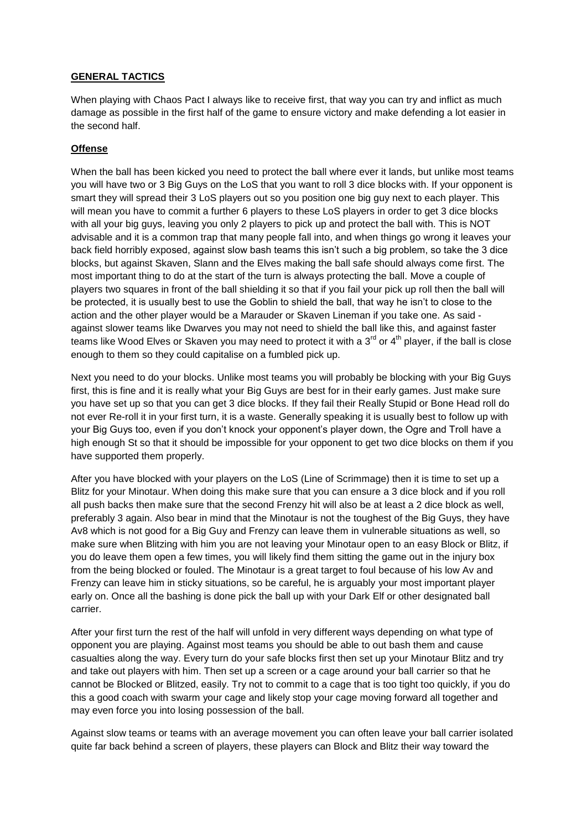## **GENERAL TACTICS**

When playing with Chaos Pact I always like to receive first, that way you can try and inflict as much damage as possible in the first half of the game to ensure victory and make defending a lot easier in the second half.

## **Offense**

When the ball has been kicked you need to protect the ball where ever it lands, but unlike most teams you will have two or 3 Big Guys on the LoS that you want to roll 3 dice blocks with. If your opponent is smart they will spread their 3 LoS players out so you position one big guy next to each player. This will mean you have to commit a further 6 players to these LoS players in order to get 3 dice blocks with all your big guys, leaving you only 2 players to pick up and protect the ball with. This is NOT advisable and it is a common trap that many people fall into, and when things go wrong it leaves your back field horribly exposed, against slow bash teams this isn't such a big problem, so take the 3 dice blocks, but against Skaven, Slann and the Elves making the ball safe should always come first. The most important thing to do at the start of the turn is always protecting the ball. Move a couple of players two squares in front of the ball shielding it so that if you fail your pick up roll then the ball will be protected, it is usually best to use the Goblin to shield the ball, that way he isn't to close to the action and the other player would be a Marauder or Skaven Lineman if you take one. As said against slower teams like Dwarves you may not need to shield the ball like this, and against faster teams like Wood Elves or Skaven you may need to protect it with a 3<sup>rd</sup> or 4<sup>th</sup> player, if the ball is close enough to them so they could capitalise on a fumbled pick up.

Next you need to do your blocks. Unlike most teams you will probably be blocking with your Big Guys first, this is fine and it is really what your Big Guys are best for in their early games. Just make sure you have set up so that you can get 3 dice blocks. If they fail their Really Stupid or Bone Head roll do not ever Re-roll it in your first turn, it is a waste. Generally speaking it is usually best to follow up with your Big Guys too, even if you don't knock your opponent's player down, the Ogre and Troll have a high enough St so that it should be impossible for your opponent to get two dice blocks on them if you have supported them properly.

After you have blocked with your players on the LoS (Line of Scrimmage) then it is time to set up a Blitz for your Minotaur. When doing this make sure that you can ensure a 3 dice block and if you roll all push backs then make sure that the second Frenzy hit will also be at least a 2 dice block as well, preferably 3 again. Also bear in mind that the Minotaur is not the toughest of the Big Guys, they have Av8 which is not good for a Big Guy and Frenzy can leave them in vulnerable situations as well, so make sure when Blitzing with him you are not leaving your Minotaur open to an easy Block or Blitz, if you do leave them open a few times, you will likely find them sitting the game out in the injury box from the being blocked or fouled. The Minotaur is a great target to foul because of his low Av and Frenzy can leave him in sticky situations, so be careful, he is arguably your most important player early on. Once all the bashing is done pick the ball up with your Dark Elf or other designated ball carrier.

After your first turn the rest of the half will unfold in very different ways depending on what type of opponent you are playing. Against most teams you should be able to out bash them and cause casualties along the way. Every turn do your safe blocks first then set up your Minotaur Blitz and try and take out players with him. Then set up a screen or a cage around your ball carrier so that he cannot be Blocked or Blitzed, easily. Try not to commit to a cage that is too tight too quickly, if you do this a good coach with swarm your cage and likely stop your cage moving forward all together and may even force you into losing possession of the ball.

Against slow teams or teams with an average movement you can often leave your ball carrier isolated quite far back behind a screen of players, these players can Block and Blitz their way toward the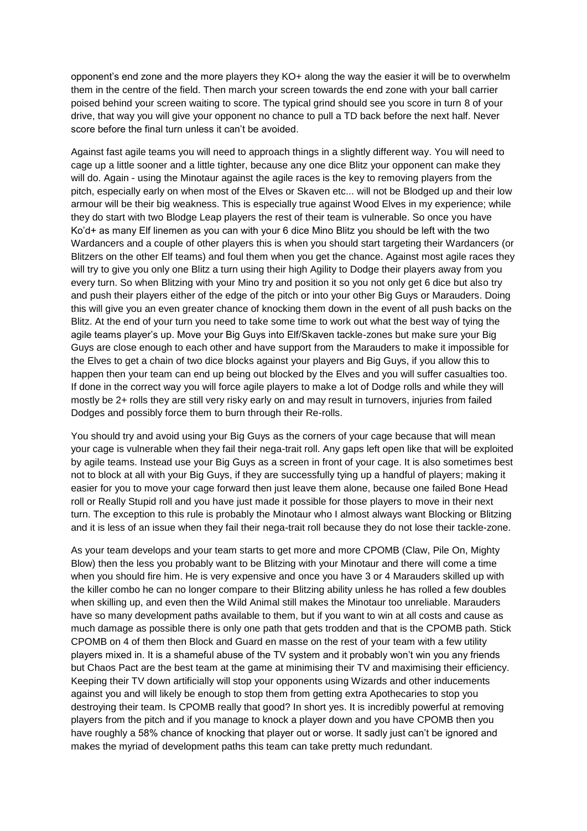opponent's end zone and the more players they KO+ along the way the easier it will be to overwhelm them in the centre of the field. Then march your screen towards the end zone with your ball carrier poised behind your screen waiting to score. The typical grind should see you score in turn 8 of your drive, that way you will give your opponent no chance to pull a TD back before the next half. Never score before the final turn unless it can't be avoided.

Against fast agile teams you will need to approach things in a slightly different way. You will need to cage up a little sooner and a little tighter, because any one dice Blitz your opponent can make they will do. Again - using the Minotaur against the agile races is the key to removing players from the pitch, especially early on when most of the Elves or Skaven etc... will not be Blodged up and their low armour will be their big weakness. This is especially true against Wood Elves in my experience; while they do start with two Blodge Leap players the rest of their team is vulnerable. So once you have Ko'd+ as many Elf linemen as you can with your 6 dice Mino Blitz you should be left with the two Wardancers and a couple of other players this is when you should start targeting their Wardancers (or Blitzers on the other Elf teams) and foul them when you get the chance. Against most agile races they will try to give you only one Blitz a turn using their high Agility to Dodge their players away from you every turn. So when Blitzing with your Mino try and position it so you not only get 6 dice but also try and push their players either of the edge of the pitch or into your other Big Guys or Marauders. Doing this will give you an even greater chance of knocking them down in the event of all push backs on the Blitz. At the end of your turn you need to take some time to work out what the best way of tying the agile teams player's up. Move your Big Guys into Elf/Skaven tackle-zones but make sure your Big Guys are close enough to each other and have support from the Marauders to make it impossible for the Elves to get a chain of two dice blocks against your players and Big Guys, if you allow this to happen then your team can end up being out blocked by the Elves and you will suffer casualties too. If done in the correct way you will force agile players to make a lot of Dodge rolls and while they will mostly be 2+ rolls they are still very risky early on and may result in turnovers, injuries from failed Dodges and possibly force them to burn through their Re-rolls.

You should try and avoid using your Big Guys as the corners of your cage because that will mean your cage is vulnerable when they fail their nega-trait roll. Any gaps left open like that will be exploited by agile teams. Instead use your Big Guys as a screen in front of your cage. It is also sometimes best not to block at all with your Big Guys, if they are successfully tying up a handful of players; making it easier for you to move your cage forward then just leave them alone, because one failed Bone Head roll or Really Stupid roll and you have just made it possible for those players to move in their next turn. The exception to this rule is probably the Minotaur who I almost always want Blocking or Blitzing and it is less of an issue when they fail their nega-trait roll because they do not lose their tackle-zone.

As your team develops and your team starts to get more and more CPOMB (Claw, Pile On, Mighty Blow) then the less you probably want to be Blitzing with your Minotaur and there will come a time when you should fire him. He is very expensive and once you have 3 or 4 Marauders skilled up with the killer combo he can no longer compare to their Blitzing ability unless he has rolled a few doubles when skilling up, and even then the Wild Animal still makes the Minotaur too unreliable. Marauders have so many development paths available to them, but if you want to win at all costs and cause as much damage as possible there is only one path that gets trodden and that is the CPOMB path. Stick CPOMB on 4 of them then Block and Guard en masse on the rest of your team with a few utility players mixed in. It is a shameful abuse of the TV system and it probably won't win you any friends but Chaos Pact are the best team at the game at minimising their TV and maximising their efficiency. Keeping their TV down artificially will stop your opponents using Wizards and other inducements against you and will likely be enough to stop them from getting extra Apothecaries to stop you destroying their team. Is CPOMB really that good? In short yes. It is incredibly powerful at removing players from the pitch and if you manage to knock a player down and you have CPOMB then you have roughly a 58% chance of knocking that player out or worse. It sadly just can't be ignored and makes the myriad of development paths this team can take pretty much redundant.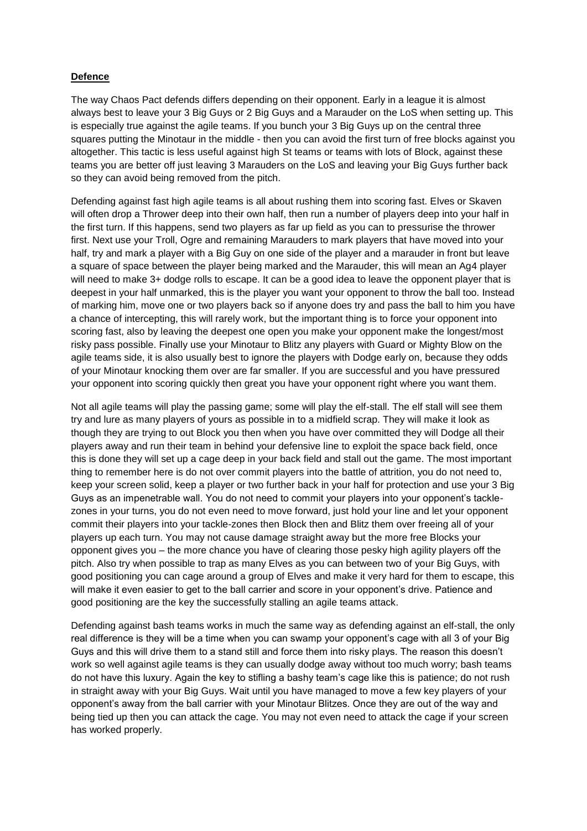## **Defence**

The way Chaos Pact defends differs depending on their opponent. Early in a league it is almost always best to leave your 3 Big Guys or 2 Big Guys and a Marauder on the LoS when setting up. This is especially true against the agile teams. If you bunch your 3 Big Guys up on the central three squares putting the Minotaur in the middle - then you can avoid the first turn of free blocks against you altogether. This tactic is less useful against high St teams or teams with lots of Block, against these teams you are better off just leaving 3 Marauders on the LoS and leaving your Big Guys further back so they can avoid being removed from the pitch.

Defending against fast high agile teams is all about rushing them into scoring fast. Elves or Skaven will often drop a Thrower deep into their own half, then run a number of players deep into your half in the first turn. If this happens, send two players as far up field as you can to pressurise the thrower first. Next use your Troll, Ogre and remaining Marauders to mark players that have moved into your half, try and mark a player with a Big Guy on one side of the player and a marauder in front but leave a square of space between the player being marked and the Marauder, this will mean an Ag4 player will need to make 3+ dodge rolls to escape. It can be a good idea to leave the opponent player that is deepest in your half unmarked, this is the player you want your opponent to throw the ball too. Instead of marking him, move one or two players back so if anyone does try and pass the ball to him you have a chance of intercepting, this will rarely work, but the important thing is to force your opponent into scoring fast, also by leaving the deepest one open you make your opponent make the longest/most risky pass possible. Finally use your Minotaur to Blitz any players with Guard or Mighty Blow on the agile teams side, it is also usually best to ignore the players with Dodge early on, because they odds of your Minotaur knocking them over are far smaller. If you are successful and you have pressured your opponent into scoring quickly then great you have your opponent right where you want them.

Not all agile teams will play the passing game; some will play the elf-stall. The elf stall will see them try and lure as many players of yours as possible in to a midfield scrap. They will make it look as though they are trying to out Block you then when you have over committed they will Dodge all their players away and run their team in behind your defensive line to exploit the space back field, once this is done they will set up a cage deep in your back field and stall out the game. The most important thing to remember here is do not over commit players into the battle of attrition, you do not need to, keep your screen solid, keep a player or two further back in your half for protection and use your 3 Big Guys as an impenetrable wall. You do not need to commit your players into your opponent's tacklezones in your turns, you do not even need to move forward, just hold your line and let your opponent commit their players into your tackle-zones then Block then and Blitz them over freeing all of your players up each turn. You may not cause damage straight away but the more free Blocks your opponent gives you – the more chance you have of clearing those pesky high agility players off the pitch. Also try when possible to trap as many Elves as you can between two of your Big Guys, with good positioning you can cage around a group of Elves and make it very hard for them to escape, this will make it even easier to get to the ball carrier and score in your opponent's drive. Patience and good positioning are the key the successfully stalling an agile teams attack.

Defending against bash teams works in much the same way as defending against an elf-stall, the only real difference is they will be a time when you can swamp your opponent's cage with all 3 of your Big Guys and this will drive them to a stand still and force them into risky plays. The reason this doesn't work so well against agile teams is they can usually dodge away without too much worry; bash teams do not have this luxury. Again the key to stifling a bashy team's cage like this is patience; do not rush in straight away with your Big Guys. Wait until you have managed to move a few key players of your opponent's away from the ball carrier with your Minotaur Blitzes. Once they are out of the way and being tied up then you can attack the cage. You may not even need to attack the cage if your screen has worked properly.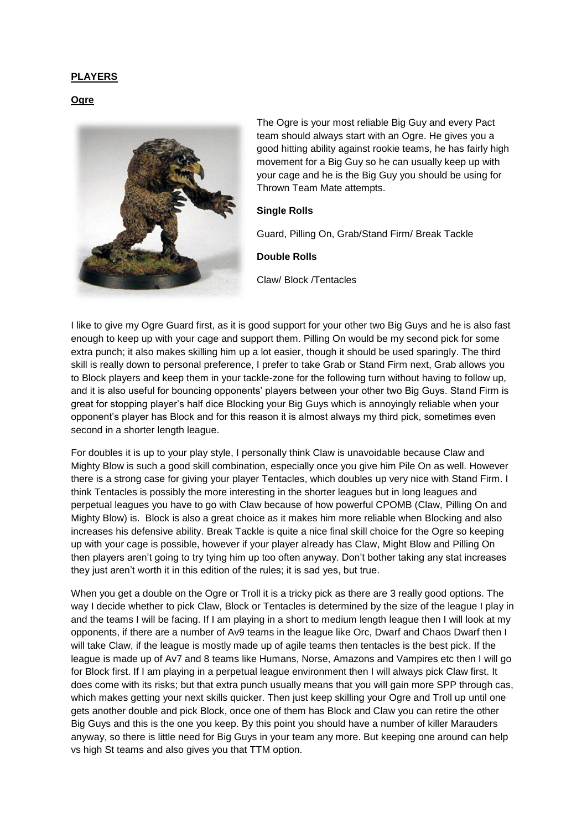## **PLAYERS**

#### **Ogre**



The Ogre is your most reliable Big Guy and every Pact team should always start with an Ogre. He gives you a good hitting ability against rookie teams, he has fairly high movement for a Big Guy so he can usually keep up with your cage and he is the Big Guy you should be using for Thrown Team Mate attempts.

#### **Single Rolls**

Guard, Pilling On, Grab/Stand Firm/ Break Tackle

**Double Rolls**

Claw/ Block /Tentacles

I like to give my Ogre Guard first, as it is good support for your other two Big Guys and he is also fast enough to keep up with your cage and support them. Pilling On would be my second pick for some extra punch; it also makes skilling him up a lot easier, though it should be used sparingly. The third skill is really down to personal preference, I prefer to take Grab or Stand Firm next, Grab allows you to Block players and keep them in your tackle-zone for the following turn without having to follow up, and it is also useful for bouncing opponents' players between your other two Big Guys. Stand Firm is great for stopping player's half dice Blocking your Big Guys which is annoyingly reliable when your opponent's player has Block and for this reason it is almost always my third pick, sometimes even second in a shorter length league.

For doubles it is up to your play style, I personally think Claw is unavoidable because Claw and Mighty Blow is such a good skill combination, especially once you give him Pile On as well. However there is a strong case for giving your player Tentacles, which doubles up very nice with Stand Firm. I think Tentacles is possibly the more interesting in the shorter leagues but in long leagues and perpetual leagues you have to go with Claw because of how powerful CPOMB (Claw, Pilling On and Mighty Blow) is. Block is also a great choice as it makes him more reliable when Blocking and also increases his defensive ability. Break Tackle is quite a nice final skill choice for the Ogre so keeping up with your cage is possible, however if your player already has Claw, Might Blow and Pilling On then players aren't going to try tying him up too often anyway. Don't bother taking any stat increases they just aren't worth it in this edition of the rules; it is sad yes, but true.

When you get a double on the Ogre or Troll it is a tricky pick as there are 3 really good options. The way I decide whether to pick Claw, Block or Tentacles is determined by the size of the league I play in and the teams I will be facing. If I am playing in a short to medium length league then I will look at my opponents, if there are a number of Av9 teams in the league like Orc, Dwarf and Chaos Dwarf then I will take Claw, if the league is mostly made up of agile teams then tentacles is the best pick. If the league is made up of Av7 and 8 teams like Humans, Norse, Amazons and Vampires etc then I will go for Block first. If I am playing in a perpetual league environment then I will always pick Claw first. It does come with its risks; but that extra punch usually means that you will gain more SPP through cas, which makes getting your next skills quicker. Then just keep skilling your Ogre and Troll up until one gets another double and pick Block, once one of them has Block and Claw you can retire the other Big Guys and this is the one you keep. By this point you should have a number of killer Marauders anyway, so there is little need for Big Guys in your team any more. But keeping one around can help vs high St teams and also gives you that TTM option.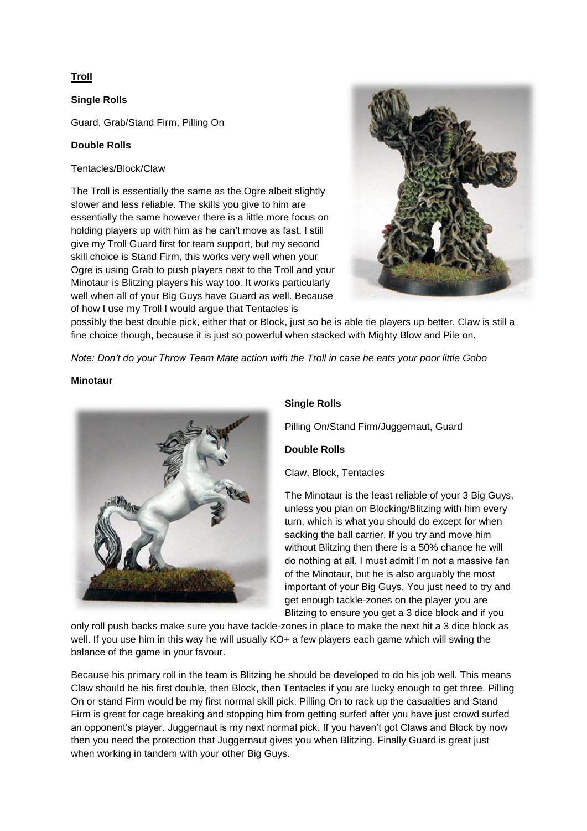## **Troll**

## **Single Rolls**

Guard, Grab/Stand Firm, Pilling On

## **Double Rolls**

## Tentacles/Block/Claw

The Troll is essentially the same as the Ogre albeit slightly slower and less reliable. The skills you give to him are essentially the same however there is a little more focus on holding players up with him as he can't move as fast. I still give my Troll Guard first for team support, but my second skill choice is Stand Firm, this works very well when your Ogre is using Grab to push players next to the Troll and your Minotaur is Blitzing players his way too. It works particularly well when all of your Big Guys have Guard as well. Because of how I use my Troll I would argue that Tentacles is



possibly the best double pick, either that or Block, just so he is able tie players up better. Claw is still a fine choice though, because it is just so powerful when stacked with Mighty Blow and Pile on.

*Note: Don't do your Throw Team Mate action with the Troll in case he eats your poor little Gobo*

## **Minotaur**



## **Single Rolls**

Pilling On/Stand Firm/Juggernaut, Guard

## **Double Rolls**

Claw, Block, Tentacles

The Minotaur is the least reliable of your 3 Big Guys, unless you plan on Blocking/Blitzing with him every turn, which is what you should do except for when sacking the ball carrier. If you try and move him without Blitzing then there is a 50% chance he will do nothing at all. I must admit I'm not a massive fan of the Minotaur, but he is also arguably the most important of your Big Guys. You just need to try and get enough tackle-zones on the player you are Blitzing to ensure you get a 3 dice block and if you

only roll push backs make sure you have tackle-zones in place to make the next hit a 3 dice block as well. If you use him in this way he will usually KO+ a few players each game which will swing the balance of the game in your favour.

Because his primary roll in the team is Blitzing he should be developed to do his job well. This means Claw should be his first double, then Block, then Tentacles if you are lucky enough to get three. Pilling On or stand Firm would be my first normal skill pick. Pilling On to rack up the casualties and Stand Firm is great for cage breaking and stopping him from getting surfed after you have just crowd surfed an opponent's player. Juggernaut is my next normal pick. If you haven't got Claws and Block by now then you need the protection that Juggernaut gives you when Blitzing. Finally Guard is great just when working in tandem with your other Big Guys.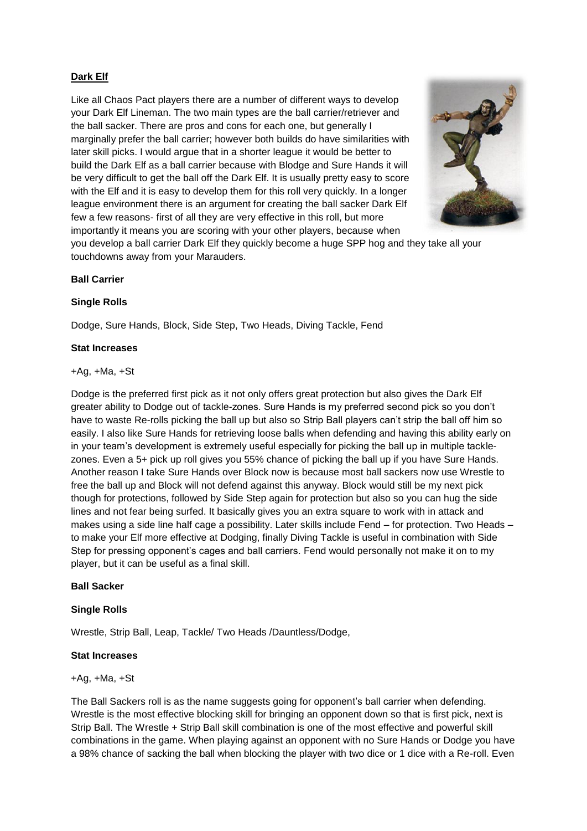## **Dark Elf**

Like all Chaos Pact players there are a number of different ways to develop your Dark Elf Lineman. The two main types are the ball carrier/retriever and the ball sacker. There are pros and cons for each one, but generally I marginally prefer the ball carrier; however both builds do have similarities with later skill picks. I would argue that in a shorter league it would be better to build the Dark Elf as a ball carrier because with Blodge and Sure Hands it will be very difficult to get the ball off the Dark Elf. It is usually pretty easy to score with the Elf and it is easy to develop them for this roll very quickly. In a longer league environment there is an argument for creating the ball sacker Dark Elf few a few reasons- first of all they are very effective in this roll, but more importantly it means you are scoring with your other players, because when you develop a ball carrier Dark Elf they quickly become a huge SPP hog and they take all your



touchdowns away from your Marauders.

### **Ball Carrier**

### **Single Rolls**

Dodge, Sure Hands, Block, Side Step, Two Heads, Diving Tackle, Fend

#### **Stat Increases**

#### $+Aq, +Ma, +St$

Dodge is the preferred first pick as it not only offers great protection but also gives the Dark Elf greater ability to Dodge out of tackle-zones. Sure Hands is my preferred second pick so you don't have to waste Re-rolls picking the ball up but also so Strip Ball players can't strip the ball off him so easily. I also like Sure Hands for retrieving loose balls when defending and having this ability early on in your team's development is extremely useful especially for picking the ball up in multiple tacklezones. Even a 5+ pick up roll gives you 55% chance of picking the ball up if you have Sure Hands. Another reason I take Sure Hands over Block now is because most ball sackers now use Wrestle to free the ball up and Block will not defend against this anyway. Block would still be my next pick though for protections, followed by Side Step again for protection but also so you can hug the side lines and not fear being surfed. It basically gives you an extra square to work with in attack and makes using a side line half cage a possibility. Later skills include Fend – for protection. Two Heads – to make your Elf more effective at Dodging, finally Diving Tackle is useful in combination with Side Step for pressing opponent's cages and ball carriers. Fend would personally not make it on to my player, but it can be useful as a final skill.

#### **Ball Sacker**

## **Single Rolls**

Wrestle, Strip Ball, Leap, Tackle/ Two Heads /Dauntless/Dodge,

#### **Stat Increases**

#### +Ag, +Ma, +St

The Ball Sackers roll is as the name suggests going for opponent's ball carrier when defending. Wrestle is the most effective blocking skill for bringing an opponent down so that is first pick, next is Strip Ball. The Wrestle + Strip Ball skill combination is one of the most effective and powerful skill combinations in the game. When playing against an opponent with no Sure Hands or Dodge you have a 98% chance of sacking the ball when blocking the player with two dice or 1 dice with a Re-roll. Even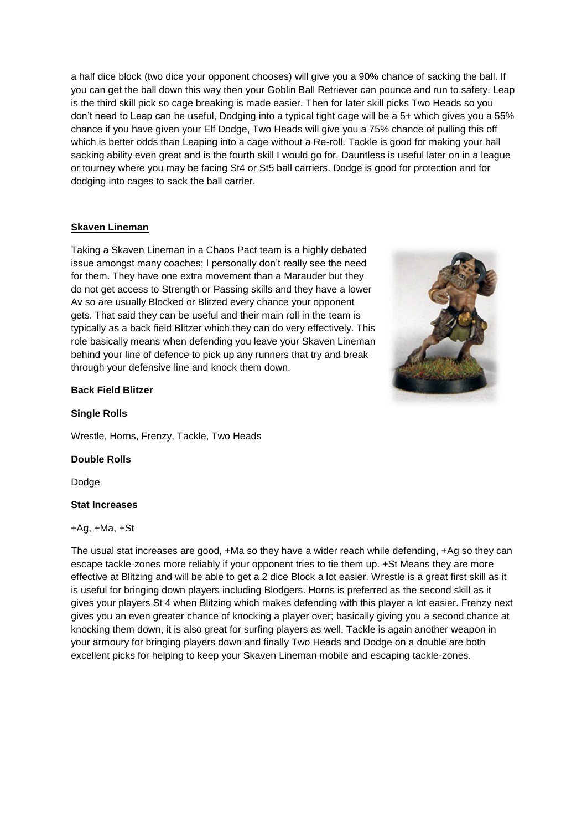a half dice block (two dice your opponent chooses) will give you a 90% chance of sacking the ball. If you can get the ball down this way then your Goblin Ball Retriever can pounce and run to safety. Leap is the third skill pick so cage breaking is made easier. Then for later skill picks Two Heads so you don't need to Leap can be useful, Dodging into a typical tight cage will be a 5+ which gives you a 55% chance if you have given your Elf Dodge, Two Heads will give you a 75% chance of pulling this off which is better odds than Leaping into a cage without a Re-roll. Tackle is good for making your ball sacking ability even great and is the fourth skill I would go for. Dauntless is useful later on in a league or tourney where you may be facing St4 or St5 ball carriers. Dodge is good for protection and for dodging into cages to sack the ball carrier.

## **Skaven Lineman**

Taking a Skaven Lineman in a Chaos Pact team is a highly debated issue amongst many coaches; I personally don't really see the need for them. They have one extra movement than a Marauder but they do not get access to Strength or Passing skills and they have a lower Av so are usually Blocked or Blitzed every chance your opponent gets. That said they can be useful and their main roll in the team is typically as a back field Blitzer which they can do very effectively. This role basically means when defending you leave your Skaven Lineman behind your line of defence to pick up any runners that try and break through your defensive line and knock them down.



## **Back Field Blitzer**

## **Single Rolls**

Wrestle, Horns, Frenzy, Tackle, Two Heads

## **Double Rolls**

Dodge

## **Stat Increases**

## $+Aa. +Ma. +St$

The usual stat increases are good, +Ma so they have a wider reach while defending, +Ag so they can escape tackle-zones more reliably if your opponent tries to tie them up. +St Means they are more effective at Blitzing and will be able to get a 2 dice Block a lot easier. Wrestle is a great first skill as it is useful for bringing down players including Blodgers. Horns is preferred as the second skill as it gives your players St 4 when Blitzing which makes defending with this player a lot easier. Frenzy next gives you an even greater chance of knocking a player over; basically giving you a second chance at knocking them down, it is also great for surfing players as well. Tackle is again another weapon in your armoury for bringing players down and finally Two Heads and Dodge on a double are both excellent picks for helping to keep your Skaven Lineman mobile and escaping tackle-zones.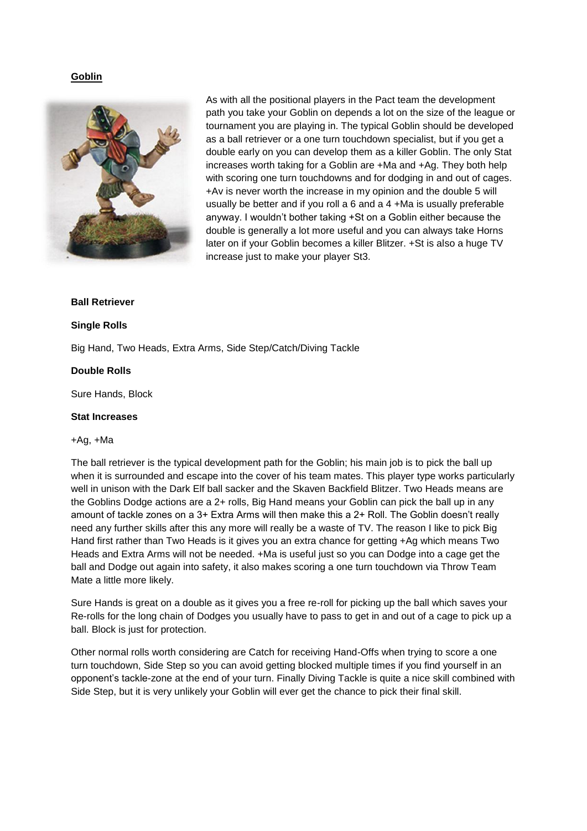## **Goblin**



As with all the positional players in the Pact team the development path you take your Goblin on depends a lot on the size of the league or tournament you are playing in. The typical Goblin should be developed as a ball retriever or a one turn touchdown specialist, but if you get a double early on you can develop them as a killer Goblin. The only Stat increases worth taking for a Goblin are +Ma and +Ag. They both help with scoring one turn touchdowns and for dodging in and out of cages. +Av is never worth the increase in my opinion and the double 5 will usually be better and if you roll a 6 and a 4 +Ma is usually preferable anyway. I wouldn't bother taking +St on a Goblin either because the double is generally a lot more useful and you can always take Horns later on if your Goblin becomes a killer Blitzer. +St is also a huge TV increase just to make your player St3.

#### **Ball Retriever**

#### **Single Rolls**

Big Hand, Two Heads, Extra Arms, Side Step/Catch/Diving Tackle

#### **Double Rolls**

Sure Hands, Block

#### **Stat Increases**

#### +Ag, +Ma

The ball retriever is the typical development path for the Goblin; his main job is to pick the ball up when it is surrounded and escape into the cover of his team mates. This player type works particularly well in unison with the Dark Elf ball sacker and the Skaven Backfield Blitzer. Two Heads means are the Goblins Dodge actions are a 2+ rolls, Big Hand means your Goblin can pick the ball up in any amount of tackle zones on a 3+ Extra Arms will then make this a 2+ Roll. The Goblin doesn't really need any further skills after this any more will really be a waste of TV. The reason I like to pick Big Hand first rather than Two Heads is it gives you an extra chance for getting +Ag which means Two Heads and Extra Arms will not be needed. +Ma is useful just so you can Dodge into a cage get the ball and Dodge out again into safety, it also makes scoring a one turn touchdown via Throw Team Mate a little more likely.

Sure Hands is great on a double as it gives you a free re-roll for picking up the ball which saves your Re-rolls for the long chain of Dodges you usually have to pass to get in and out of a cage to pick up a ball. Block is just for protection.

Other normal rolls worth considering are Catch for receiving Hand-Offs when trying to score a one turn touchdown, Side Step so you can avoid getting blocked multiple times if you find yourself in an opponent's tackle-zone at the end of your turn. Finally Diving Tackle is quite a nice skill combined with Side Step, but it is very unlikely your Goblin will ever get the chance to pick their final skill.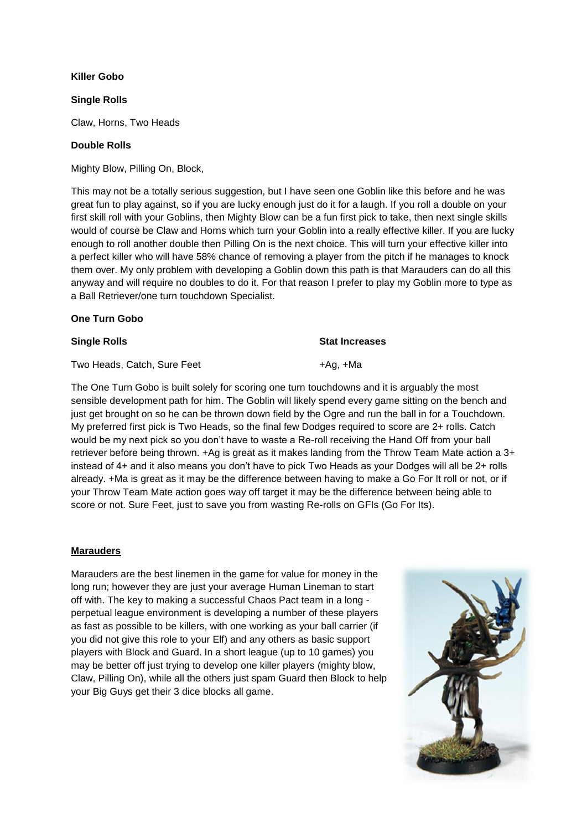## **Killer Gobo**

## **Single Rolls**

Claw, Horns, Two Heads

## **Double Rolls**

Mighty Blow, Pilling On, Block,

This may not be a totally serious suggestion, but I have seen one Goblin like this before and he was great fun to play against, so if you are lucky enough just do it for a laugh. If you roll a double on your first skill roll with your Goblins, then Mighty Blow can be a fun first pick to take, then next single skills would of course be Claw and Horns which turn your Goblin into a really effective killer. If you are lucky enough to roll another double then Pilling On is the next choice. This will turn your effective killer into a perfect killer who will have 58% chance of removing a player from the pitch if he manages to knock them over. My only problem with developing a Goblin down this path is that Marauders can do all this anyway and will require no doubles to do it. For that reason I prefer to play my Goblin more to type as a Ball Retriever/one turn touchdown Specialist.

### **One Turn Gobo**

#### **Single Rolls Stat Increases**

Two Heads, Catch, Sure Feet +Ag, +Ma

The One Turn Gobo is built solely for scoring one turn touchdowns and it is arguably the most sensible development path for him. The Goblin will likely spend every game sitting on the bench and just get brought on so he can be thrown down field by the Ogre and run the ball in for a Touchdown. My preferred first pick is Two Heads, so the final few Dodges required to score are 2+ rolls. Catch would be my next pick so you don't have to waste a Re-roll receiving the Hand Off from your ball retriever before being thrown. +Ag is great as it makes landing from the Throw Team Mate action a 3+ instead of 4+ and it also means you don't have to pick Two Heads as your Dodges will all be 2+ rolls already. +Ma is great as it may be the difference between having to make a Go For It roll or not, or if your Throw Team Mate action goes way off target it may be the difference between being able to score or not. Sure Feet, just to save you from wasting Re-rolls on GFIs (Go For Its).

#### **Marauders**

Marauders are the best linemen in the game for value for money in the long run; however they are just your average Human Lineman to start off with. The key to making a successful Chaos Pact team in a long perpetual league environment is developing a number of these players as fast as possible to be killers, with one working as your ball carrier (if you did not give this role to your Elf) and any others as basic support players with Block and Guard. In a short league (up to 10 games) you may be better off just trying to develop one killer players (mighty blow, Claw, Pilling On), while all the others just spam Guard then Block to help your Big Guys get their 3 dice blocks all game.

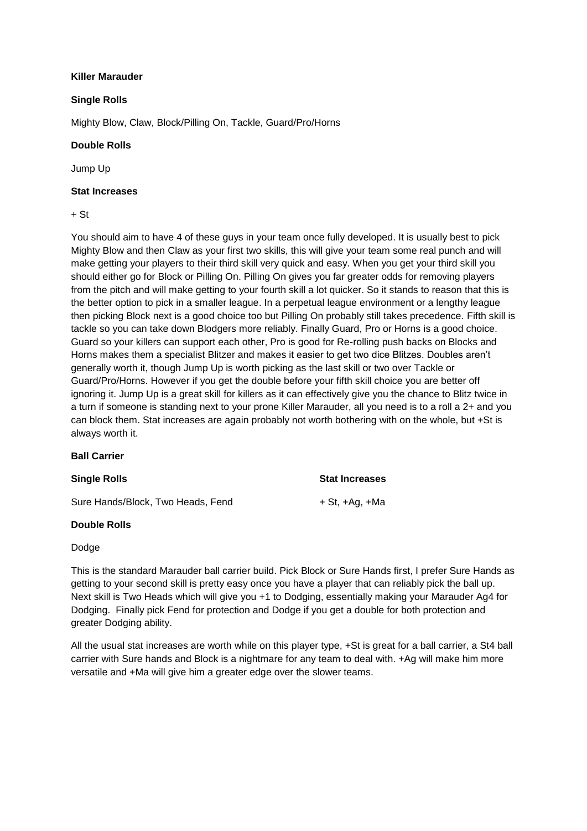## **Killer Marauder**

## **Single Rolls**

Mighty Blow, Claw, Block/Pilling On, Tackle, Guard/Pro/Horns

## **Double Rolls**

Jump Up

#### **Stat Increases**

### $+ S<sub>t</sub>$

You should aim to have 4 of these guys in your team once fully developed. It is usually best to pick Mighty Blow and then Claw as your first two skills, this will give your team some real punch and will make getting your players to their third skill very quick and easy. When you get your third skill you should either go for Block or Pilling On. Pilling On gives you far greater odds for removing players from the pitch and will make getting to your fourth skill a lot quicker. So it stands to reason that this is the better option to pick in a smaller league. In a perpetual league environment or a lengthy league then picking Block next is a good choice too but Pilling On probably still takes precedence. Fifth skill is tackle so you can take down Blodgers more reliably. Finally Guard, Pro or Horns is a good choice. Guard so your killers can support each other, Pro is good for Re-rolling push backs on Blocks and Horns makes them a specialist Blitzer and makes it easier to get two dice Blitzes. Doubles aren't generally worth it, though Jump Up is worth picking as the last skill or two over Tackle or Guard/Pro/Horns. However if you get the double before your fifth skill choice you are better off ignoring it. Jump Up is a great skill for killers as it can effectively give you the chance to Blitz twice in a turn if someone is standing next to your prone Killer Marauder, all you need is to a roll a 2+ and you can block them. Stat increases are again probably not worth bothering with on the whole, but +St is always worth it.

#### **Ball Carrier**

Sure Hands/Block, Two Heads, Fend  $+ St$ , +Ag, +Ma

#### **Double Rolls**

## Dodge

This is the standard Marauder ball carrier build. Pick Block or Sure Hands first, I prefer Sure Hands as getting to your second skill is pretty easy once you have a player that can reliably pick the ball up. Next skill is Two Heads which will give you +1 to Dodging, essentially making your Marauder Ag4 for Dodging. Finally pick Fend for protection and Dodge if you get a double for both protection and greater Dodging ability.

All the usual stat increases are worth while on this player type, +St is great for a ball carrier, a St4 ball carrier with Sure hands and Block is a nightmare for any team to deal with. +Ag will make him more versatile and +Ma will give him a greater edge over the slower teams.

**Single Rolls Stat Increases**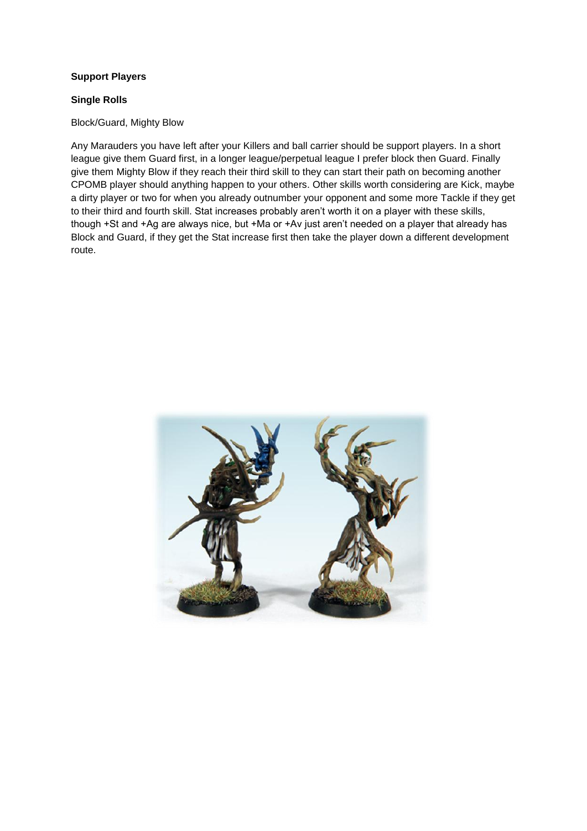## **Support Players**

## **Single Rolls**

Block/Guard, Mighty Blow

Any Marauders you have left after your Killers and ball carrier should be support players. In a short league give them Guard first, in a longer league/perpetual league I prefer block then Guard. Finally give them Mighty Blow if they reach their third skill to they can start their path on becoming another CPOMB player should anything happen to your others. Other skills worth considering are Kick, maybe a dirty player or two for when you already outnumber your opponent and some more Tackle if they get to their third and fourth skill. Stat increases probably aren't worth it on a player with these skills, though +St and +Ag are always nice, but +Ma or +Av just aren't needed on a player that already has Block and Guard, if they get the Stat increase first then take the player down a different development route.

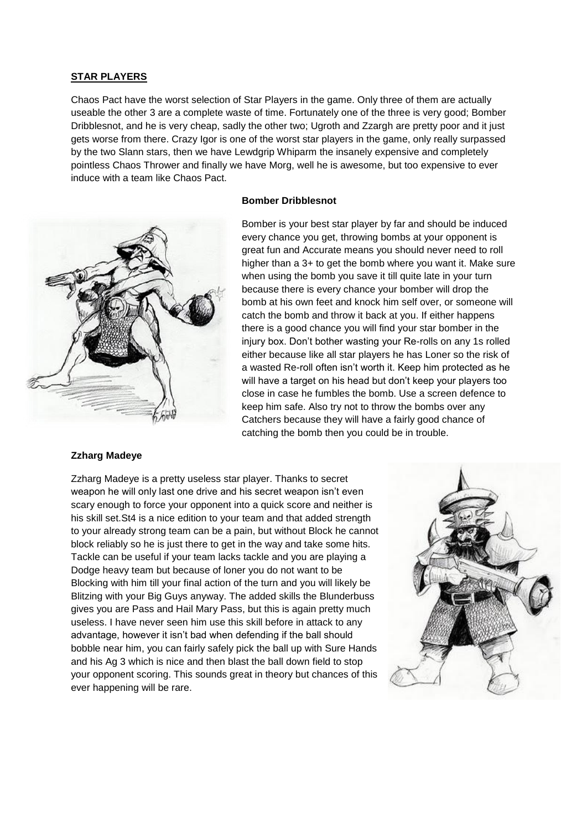#### **STAR PLAYERS**

Chaos Pact have the worst selection of Star Players in the game. Only three of them are actually useable the other 3 are a complete waste of time. Fortunately one of the three is very good; Bomber Dribblesnot, and he is very cheap, sadly the other two; Ugroth and Zzargh are pretty poor and it just gets worse from there. Crazy Igor is one of the worst star players in the game, only really surpassed by the two Slann stars, then we have Lewdgrip Whiparm the insanely expensive and completely pointless Chaos Thrower and finally we have Morg, well he is awesome, but too expensive to ever induce with a team like Chaos Pact.



## **Bomber Dribblesnot**

Bomber is your best star player by far and should be induced every chance you get, throwing bombs at your opponent is great fun and Accurate means you should never need to roll higher than a 3+ to get the bomb where you want it. Make sure when using the bomb you save it till quite late in your turn because there is every chance your bomber will drop the bomb at his own feet and knock him self over, or someone will catch the bomb and throw it back at you. If either happens there is a good chance you will find your star bomber in the injury box. Don't bother wasting your Re-rolls on any 1s rolled either because like all star players he has Loner so the risk of a wasted Re-roll often isn't worth it. Keep him protected as he will have a target on his head but don't keep your players too close in case he fumbles the bomb. Use a screen defence to keep him safe. Also try not to throw the bombs over any Catchers because they will have a fairly good chance of catching the bomb then you could be in trouble.

#### **Zzharg Madeye**

Zzharg Madeye is a pretty useless star player. Thanks to secret weapon he will only last one drive and his secret weapon isn't even scary enough to force your opponent into a quick score and neither is his skill set.St4 is a nice edition to your team and that added strength to your already strong team can be a pain, but without Block he cannot block reliably so he is just there to get in the way and take some hits. Tackle can be useful if your team lacks tackle and you are playing a Dodge heavy team but because of loner you do not want to be Blocking with him till your final action of the turn and you will likely be Blitzing with your Big Guys anyway. The added skills the Blunderbuss gives you are Pass and Hail Mary Pass, but this is again pretty much useless. I have never seen him use this skill before in attack to any advantage, however it isn't bad when defending if the ball should bobble near him, you can fairly safely pick the ball up with Sure Hands and his Ag 3 which is nice and then blast the ball down field to stop your opponent scoring. This sounds great in theory but chances of this ever happening will be rare.

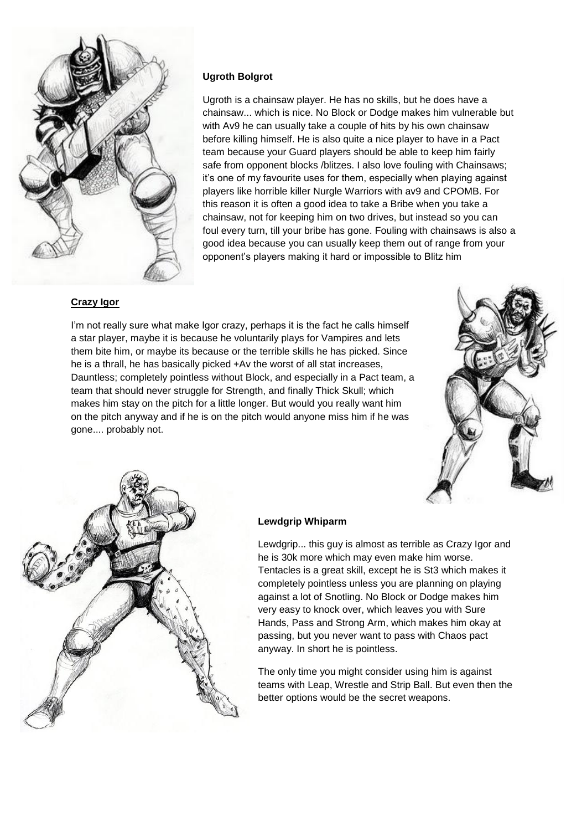

## **Ugroth Bolgrot**

Ugroth is a chainsaw player. He has no skills, but he does have a chainsaw... which is nice. No Block or Dodge makes him vulnerable but with Av9 he can usually take a couple of hits by his own chainsaw before killing himself. He is also quite a nice player to have in a Pact team because your Guard players should be able to keep him fairly safe from opponent blocks /blitzes. I also love fouling with Chainsaws; it's one of my favourite uses for them, especially when playing against players like horrible killer Nurgle Warriors with av9 and CPOMB. For this reason it is often a good idea to take a Bribe when you take a chainsaw, not for keeping him on two drives, but instead so you can foul every turn, till your bribe has gone. Fouling with chainsaws is also a good idea because you can usually keep them out of range from your opponent's players making it hard or impossible to Blitz him

## **Crazy Igor**

I'm not really sure what make Igor crazy, perhaps it is the fact he calls himself a star player, maybe it is because he voluntarily plays for Vampires and lets them bite him, or maybe its because or the terrible skills he has picked. Since he is a thrall, he has basically picked +Av the worst of all stat increases, Dauntless; completely pointless without Block, and especially in a Pact team, a team that should never struggle for Strength, and finally Thick Skull; which makes him stay on the pitch for a little longer. But would you really want him on the pitch anyway and if he is on the pitch would anyone miss him if he was gone.... probably not.





#### **Lewdgrip Whiparm**

Lewdgrip... this guy is almost as terrible as Crazy Igor and he is 30k more which may even make him worse. Tentacles is a great skill, except he is St3 which makes it completely pointless unless you are planning on playing against a lot of Snotling. No Block or Dodge makes him very easy to knock over, which leaves you with Sure Hands, Pass and Strong Arm, which makes him okay at passing, but you never want to pass with Chaos pact anyway. In short he is pointless.

The only time you might consider using him is against teams with Leap, Wrestle and Strip Ball. But even then the better options would be the secret weapons.